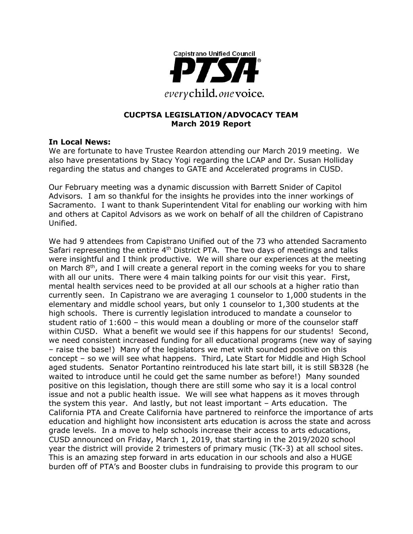

### **CUCPTSA LEGISLATION/ADVOCACY TEAM March 2019 Report**

#### **In Local News:**

We are fortunate to have Trustee Reardon attending our March 2019 meeting. We also have presentations by Stacy Yogi regarding the LCAP and Dr. Susan Holliday regarding the status and changes to GATE and Accelerated programs in CUSD.

Our February meeting was a dynamic discussion with Barrett Snider of Capitol Advisors. I am so thankful for the insights he provides into the inner workings of Sacramento. I want to thank Superintendent Vital for enabling our working with him and others at Capitol Advisors as we work on behalf of all the children of Capistrano Unified.

We had 9 attendees from Capistrano Unified out of the 73 who attended Sacramento Safari representing the entire  $4<sup>th</sup>$  District PTA. The two days of meetings and talks were insightful and I think productive. We will share our experiences at the meeting on March 8<sup>th</sup>, and I will create a general report in the coming weeks for you to share with all our units. There were 4 main talking points for our visit this year. First, mental health services need to be provided at all our schools at a higher ratio than currently seen. In Capistrano we are averaging 1 counselor to 1,000 students in the elementary and middle school years, but only 1 counselor to 1,300 students at the high schools. There is currently legislation introduced to mandate a counselor to student ratio of 1:600 – this would mean a doubling or more of the counselor staff within CUSD. What a benefit we would see if this happens for our students! Second, we need consistent increased funding for all educational programs (new way of saying – raise the base!) Many of the legislators we met with sounded positive on this concept – so we will see what happens. Third, Late Start for Middle and High School aged students. Senator Portantino reintroduced his late start bill, it is still SB328 (he waited to introduce until he could get the same number as before!) Many sounded positive on this legislation, though there are still some who say it is a local control issue and not a public health issue. We will see what happens as it moves through the system this year. And lastly, but not least important – Arts education. The California PTA and Create California have partnered to reinforce the importance of arts education and highlight how inconsistent arts education is across the state and across grade levels. In a move to help schools increase their access to arts educations, CUSD announced on Friday, March 1, 2019, that starting in the 2019/2020 school year the district will provide 2 trimesters of primary music (TK-3) at all school sites. This is an amazing step forward in arts education in our schools and also a HUGE burden off of PTA's and Booster clubs in fundraising to provide this program to our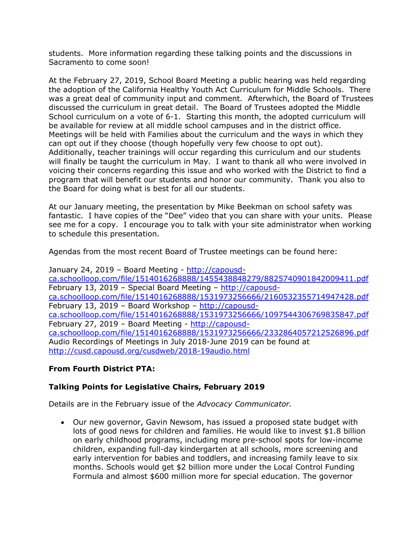students. More information regarding these talking points and the discussions in Sacramento to come soon!

At the February 27, 2019, School Board Meeting a public hearing was held regarding the adoption of the California Healthy Youth Act Curriculum for Middle Schools. There was a great deal of community input and comment. Afterwhich, the Board of Trustees discussed the curriculum in great detail. The Board of Trustees adopted the Middle School curriculum on a vote of 6-1. Starting this month, the adopted curriculum will be available for review at all middle school campuses and in the district office. Meetings will be held with Families about the curriculum and the ways in which they can opt out if they choose (though hopefully very few choose to opt out). Additionally, teacher trainings will occur regarding this curriculum and our students will finally be taught the curriculum in May. I want to thank all who were involved in voicing their concerns regarding this issue and who worked with the District to find a program that will benefit our students and honor our community. Thank you also to the Board for doing what is best for all our students.

At our January meeting, the presentation by Mike Beekman on school safety was fantastic. I have copies of the "Dee" video that you can share with your units. Please see me for a copy. I encourage you to talk with your site administrator when working to schedule this presentation.

Agendas from the most recent Board of Trustee meetings can be found here:

January 24, 2019 – Board Meeting - http://capousdca.schoolloop.com/file/1514016268888/1455438848279/8825740901842009411.pdf February 13, 2019 – Special Board Meeting – http://capousdca.schoolloop.com/file/1514016268888/1531973256666/2160532355714947428.pdf February 13, 2019 – Board Workshop – http://capousdca.schoolloop.com/file/1514016268888/1531973256666/1097544306769835847.pdf February 27, 2019 – Board Meeting - http://capousdca.schoolloop.com/file/1514016268888/1531973256666/2332864057212526896.pdf Audio Recordings of Meetings in July 2018-June 2019 can be found at http://cusd.capousd.org/cusdweb/2018-19audio.html

# **From Fourth District PTA:**

### **Talking Points for Legislative Chairs, February 2019**

Details are in the February issue of the *Advocacy Communicator.*

• Our new governor, Gavin Newsom, has issued a proposed state budget with lots of good news for children and families. He would like to invest \$1.8 billion on early childhood programs, including more pre-school spots for low-income children, expanding full-day kindergarten at all schools, more screening and early intervention for babies and toddlers, and increasing family leave to six months. Schools would get \$2 billion more under the Local Control Funding Formula and almost \$600 million more for special education. The governor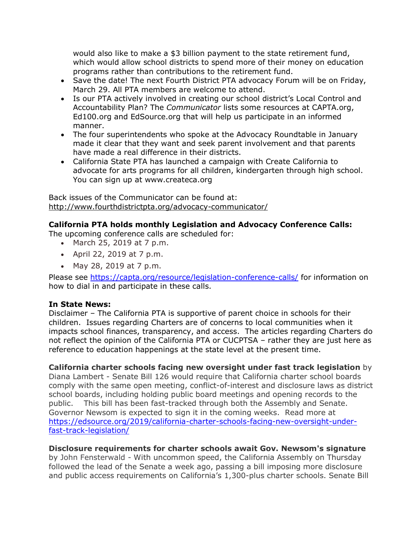would also like to make a \$3 billion payment to the state retirement fund, which would allow school districts to spend more of their money on education programs rather than contributions to the retirement fund.

- Save the date! The next Fourth District PTA advocacy Forum will be on Friday, March 29. All PTA members are welcome to attend.
- Is our PTA actively involved in creating our school district's Local Control and Accountability Plan? The *Communicator* lists some resources at CAPTA.org, Ed100.org and EdSource.org that will help us participate in an informed manner.
- The four superintendents who spoke at the Advocacy Roundtable in January made it clear that they want and seek parent involvement and that parents have made a real difference in their districts.
- California State PTA has launched a campaign with Create California to advocate for arts programs for all children, kindergarten through high school. You can sign up at www.createca.org

Back issues of the Communicator can be found at: http://www.fourthdistrictpta.org/advocacy-communicator/

# **California PTA holds monthly Legislation and Advocacy Conference Calls:**

The upcoming conference calls are scheduled for:

- March 25, 2019 at 7 p.m.
- April 22, 2019 at 7 p.m.
- May 28, 2019 at 7 p.m.

Please see https://capta.org/resource/legislation-conference-calls/ for information on how to dial in and participate in these calls.

### **In State News:**

Disclaimer – The California PTA is supportive of parent choice in schools for their children. Issues regarding Charters are of concerns to local communities when it impacts school finances, transparency, and access. The articles regarding Charters do not reflect the opinion of the California PTA or CUCPTSA – rather they are just here as reference to education happenings at the state level at the present time.

**California charter schools facing new oversight under fast track legislation** by Diana Lambert - Senate Bill 126 would require that California charter school boards comply with the same open meeting, conflict-of-interest and disclosure laws as district school boards, including holding public board meetings and opening records to the public. This bill has been fast-tracked through both the Assembly and Senate. Governor Newsom is expected to sign it in the coming weeks. Read more at https://edsource.org/2019/california-charter-schools-facing-new-oversight-underfast-track-legislation/

# **Disclosure requirements for charter schools await Gov. Newsom's signature**

by John Fensterwald - With uncommon speed, the California Assembly on Thursday followed the lead of the Senate a week ago, passing a bill imposing more disclosure and public access requirements on California's 1,300-plus charter schools. Senate Bill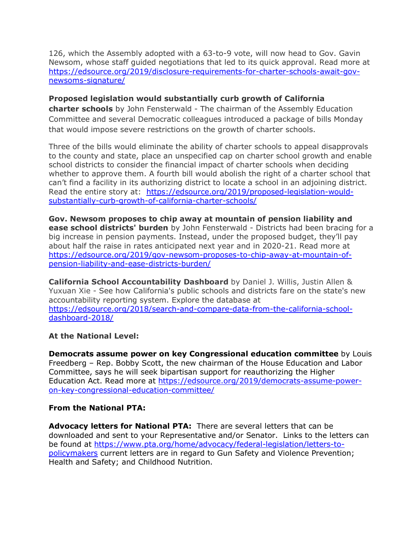126, which the Assembly adopted with a 63-to-9 vote, will now head to Gov. Gavin Newsom, whose staff guided negotiations that led to its quick approval. Read more at https://edsource.org/2019/disclosure-requirements-for-charter-schools-await-govnewsoms-signature/

### **Proposed legislation would substantially curb growth of California**

**charter schools** by John Fensterwald - The chairman of the Assembly Education Committee and several Democratic colleagues introduced a package of bills Monday that would impose severe restrictions on the growth of charter schools.

Three of the bills would eliminate the ability of charter schools to appeal disapprovals to the county and state, place an unspecified cap on charter school growth and enable school districts to consider the financial impact of charter schools when deciding whether to approve them. A fourth bill would abolish the right of a charter school that can't find a facility in its authorizing district to locate a school in an adjoining district. Read the entire story at: https://edsource.org/2019/proposed-legislation-wouldsubstantially-curb-growth-of-california-charter-schools/

**Gov. Newsom proposes to chip away at mountain of pension liability and ease school districts' burden** by John Fensterwald - Districts had been bracing for a big increase in pension payments. Instead, under the proposed budget, they'll pay about half the raise in rates anticipated next year and in 2020-21. Read more at https://edsource.org/2019/gov-newsom-proposes-to-chip-away-at-mountain-ofpension-liability-and-ease-districts-burden/

**California School Accountability Dashboard** by Daniel J. Willis, Justin Allen & Yuxuan Xie - See how California's public schools and districts fare on the state's new accountability reporting system. Explore the database at https://edsource.org/2018/search-and-compare-data-from-the-california-schooldashboard-2018/

### **At the National Level:**

**Democrats assume power on key Congressional education committee** by Louis Freedberg – Rep. Bobby Scott, the new chairman of the House Education and Labor Committee, says he will seek bipartisan support for reauthorizing the Higher Education Act. Read more at https://edsource.org/2019/democrats-assume-poweron-key-congressional-education-committee/

# **From the National PTA:**

**Advocacy letters for National PTA:** There are several letters that can be downloaded and sent to your Representative and/or Senator. Links to the letters can be found at https://www.pta.org/home/advocacy/federal-legislation/letters-topolicymakers current letters are in regard to Gun Safety and Violence Prevention; Health and Safety; and Childhood Nutrition.